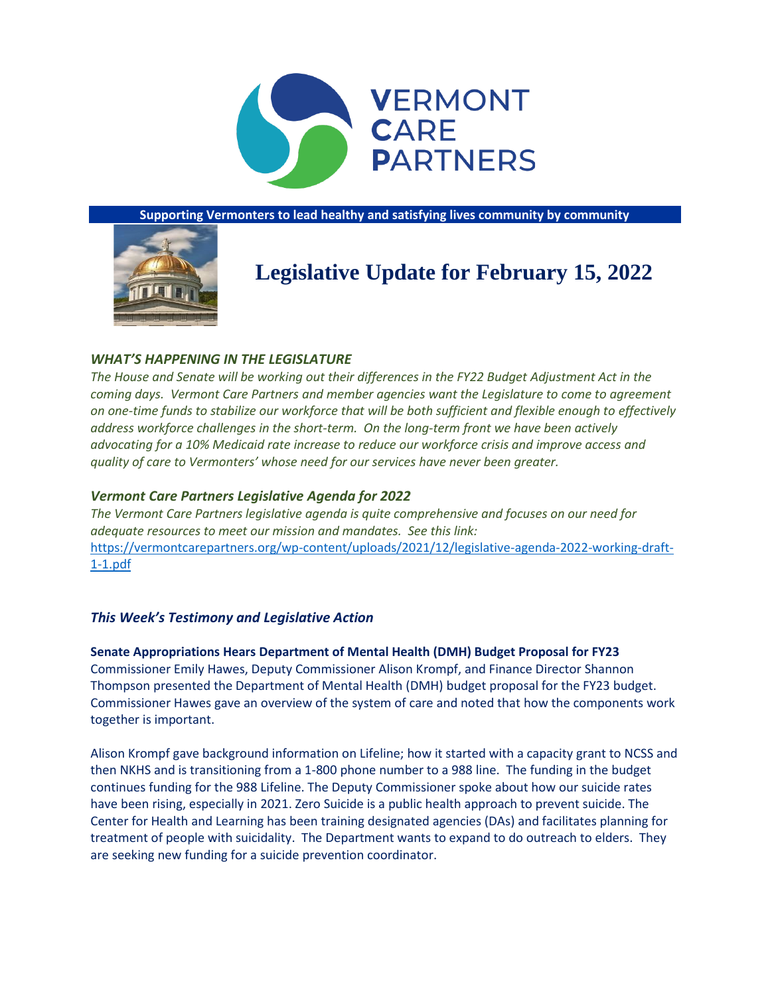

**Supporting Vermonters to lead healthy and satisfying lives community by community**



# **Legislative Update for February 15, 2022**

# *WHAT'S HAPPENING IN THE LEGISLATURE*

*The House and Senate will be working out their differences in the FY22 Budget Adjustment Act in the coming days. Vermont Care Partners and member agencies want the Legislature to come to agreement on one-time funds to stabilize our workforce that will be both sufficient and flexible enough to effectively address workforce challenges in the short-term. On the long-term front we have been actively advocating for a 10% Medicaid rate increase to reduce our workforce crisis and improve access and quality of care to Vermonters' whose need for our services have never been greater.*

# *Vermont Care Partners Legislative Agenda for 2022*

*The Vermont Care Partners legislative agenda is quite comprehensive and focuses on our need for adequate resources to meet our mission and mandates. See this link:*  [https://vermontcarepartners.org/wp-content/uploads/2021/12/legislative-agenda-2022-working-draft-](https://vermontcarepartners.org/wp-content/uploads/2021/12/legislative-agenda-2022-working-draft-1-1.pdf)[1-1.pdf](https://vermontcarepartners.org/wp-content/uploads/2021/12/legislative-agenda-2022-working-draft-1-1.pdf)

# *This Week's Testimony and Legislative Action*

**Senate Appropriations Hears Department of Mental Health (DMH) Budget Proposal for FY23** Commissioner Emily Hawes, Deputy Commissioner Alison Krompf, and Finance Director Shannon Thompson presented the Department of Mental Health (DMH) budget proposal for the FY23 budget. Commissioner Hawes gave an overview of the system of care and noted that how the components work together is important.

Alison Krompf gave background information on Lifeline; how it started with a capacity grant to NCSS and then NKHS and is transitioning from a 1-800 phone number to a 988 line. The funding in the budget continues funding for the 988 Lifeline. The Deputy Commissioner spoke about how our suicide rates have been rising, especially in 2021. Zero Suicide is a public health approach to prevent suicide. The Center for Health and Learning has been training designated agencies (DAs) and facilitates planning for treatment of people with suicidality. The Department wants to expand to do outreach to elders. They are seeking new funding for a suicide prevention coordinator.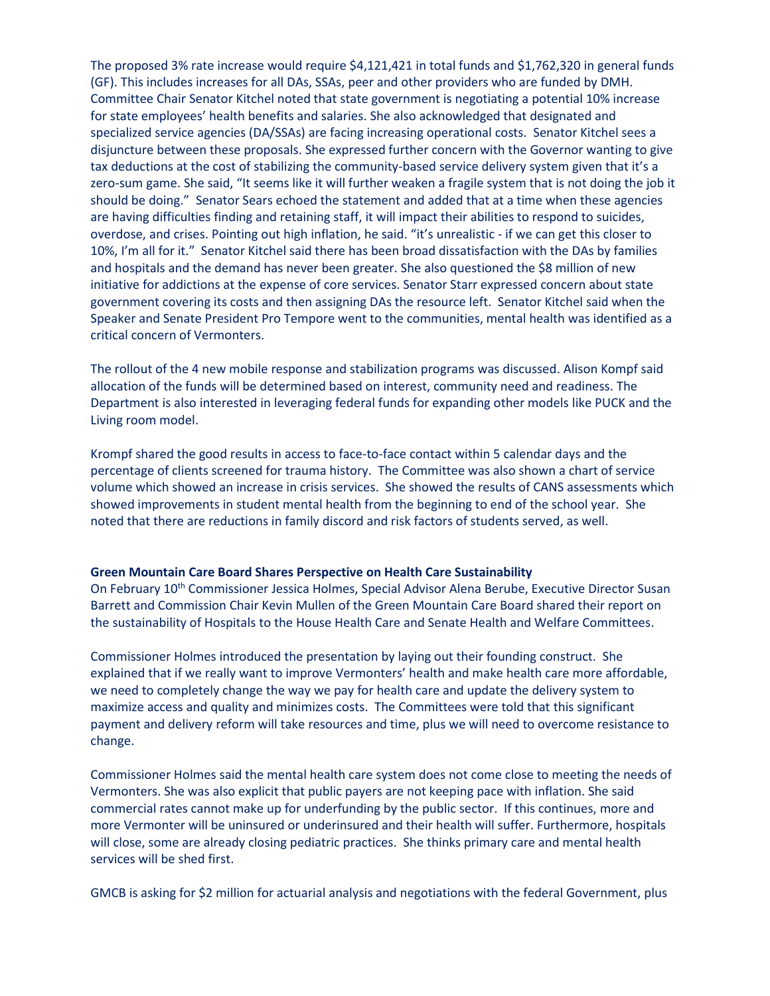The proposed 3% rate increase would require \$4,121,421 in total funds and \$1,762,320 in general funds (GF). This includes increases for all DAs, SSAs, peer and other providers who are funded by DMH. Committee Chair Senator Kitchel noted that state government is negotiating a potential 10% increase for state employees' health benefits and salaries. She also acknowledged that designated and specialized service agencies (DA/SSAs) are facing increasing operational costs. Senator Kitchel sees a disjuncture between these proposals. She expressed further concern with the Governor wanting to give tax deductions at the cost of stabilizing the community-based service delivery system given that it's a zero-sum game. She said, "It seems like it will further weaken a fragile system that is not doing the job it should be doing." Senator Sears echoed the statement and added that at a time when these agencies are having difficulties finding and retaining staff, it will impact their abilities to respond to suicides, overdose, and crises. Pointing out high inflation, he said. "it's unrealistic - if we can get this closer to 10%, I'm all for it." Senator Kitchel said there has been broad dissatisfaction with the DAs by families and hospitals and the demand has never been greater. She also questioned the \$8 million of new initiative for addictions at the expense of core services. Senator Starr expressed concern about state government covering its costs and then assigning DAs the resource left. Senator Kitchel said when the Speaker and Senate President Pro Tempore went to the communities, mental health was identified as a critical concern of Vermonters.

The rollout of the 4 new mobile response and stabilization programs was discussed. Alison Kompf said allocation of the funds will be determined based on interest, community need and readiness. The Department is also interested in leveraging federal funds for expanding other models like PUCK and the Living room model.

Krompf shared the good results in access to face-to-face contact within 5 calendar days and the percentage of clients screened for trauma history. The Committee was also shown a chart of service volume which showed an increase in crisis services. She showed the results of CANS assessments which showed improvements in student mental health from the beginning to end of the school year. She noted that there are reductions in family discord and risk factors of students served, as well.

#### **Green Mountain Care Board Shares Perspective on Health Care Sustainability**

On February 10th Commissioner Jessica Holmes, Special Advisor Alena Berube, Executive Director Susan Barrett and Commission Chair Kevin Mullen of the Green Mountain Care Board shared their report on the sustainability of Hospitals to the House Health Care and Senate Health and Welfare Committees.

Commissioner Holmes introduced the presentation by laying out their founding construct. She explained that if we really want to improve Vermonters' health and make health care more affordable, we need to completely change the way we pay for health care and update the delivery system to maximize access and quality and minimizes costs. The Committees were told that this significant payment and delivery reform will take resources and time, plus we will need to overcome resistance to change.

Commissioner Holmes said the mental health care system does not come close to meeting the needs of Vermonters. She was also explicit that public payers are not keeping pace with inflation. She said commercial rates cannot make up for underfunding by the public sector. If this continues, more and more Vermonter will be uninsured or underinsured and their health will suffer. Furthermore, hospitals will close, some are already closing pediatric practices. She thinks primary care and mental health services will be shed first.

GMCB is asking for \$2 million for actuarial analysis and negotiations with the federal Government, plus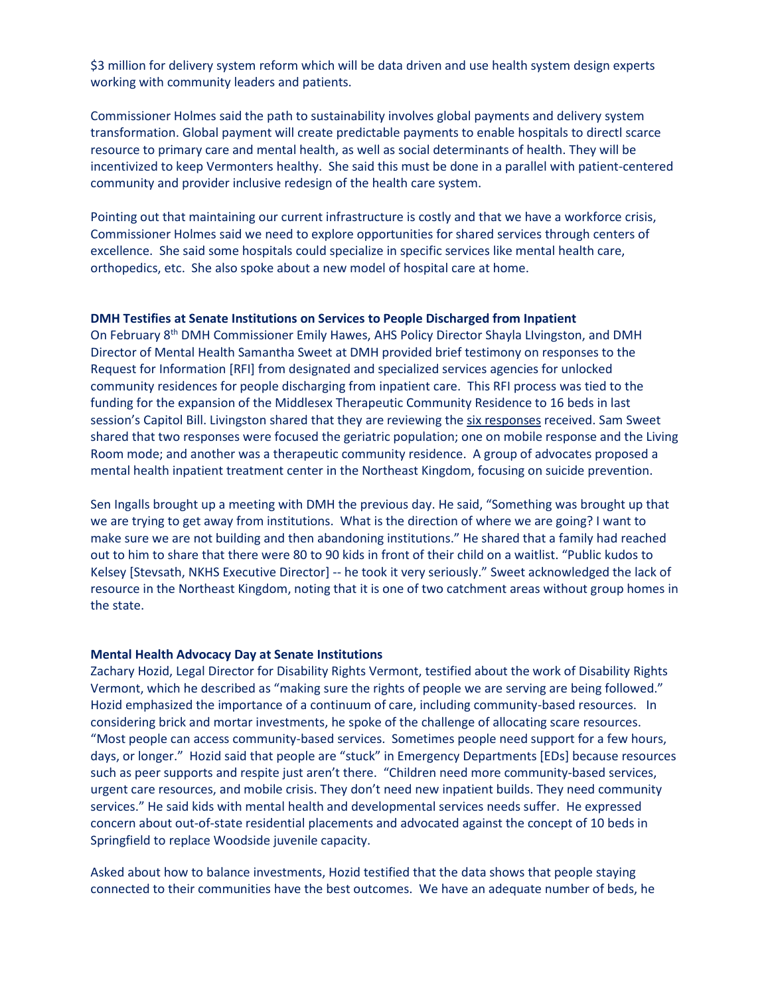\$3 million for delivery system reform which will be data driven and use health system design experts working with community leaders and patients.

Commissioner Holmes said the path to sustainability involves global payments and delivery system transformation. Global payment will create predictable payments to enable hospitals to directl scarce resource to primary care and mental health, as well as social determinants of health. They will be incentivized to keep Vermonters healthy. She said this must be done in a parallel with patient-centered community and provider inclusive redesign of the health care system.

Pointing out that maintaining our current infrastructure is costly and that we have a workforce crisis, Commissioner Holmes said we need to explore opportunities for shared services through centers of excellence. She said some hospitals could specialize in specific services like mental health care, orthopedics, etc. She also spoke about a new model of hospital care at home.

#### **DMH Testifies at Senate Institutions on Services to People Discharged from Inpatient**

On February 8th DMH Commissioner Emily Hawes, AHS Policy Director Shayla LIvingston, and DMH Director of Mental Health Samantha Sweet at DMH provided brief testimony on responses to the Request for Information [RFI] from designated and specialized services agencies for unlocked community residences for people discharging from inpatient care. This RFI process was tied to the funding for the expansion of the Middlesex Therapeutic Community Residence to 16 beds in last session's Capitol Bill. Livingston shared that they are reviewing the [six responses](https://legislature.vermont.gov/Documents/2022/WorkGroups/Senate%20Institutions/Department%20of%20Mental%20Health/W~Emily%20Hawes~Report%20-%20Residental%20Beds%20For%20Individuals%20Discharged%20From%20Inpatient%20Psychiatric%20Care~2-8-2022.pdf) received. Sam Sweet shared that two responses were focused the geriatric population; one on mobile response and the Living Room mode; and another was a therapeutic community residence. A group of advocates proposed a mental health inpatient treatment center in the Northeast Kingdom, focusing on suicide prevention.

Sen Ingalls brought up a meeting with DMH the previous day. He said, "Something was brought up that we are trying to get away from institutions. What is the direction of where we are going? I want to make sure we are not building and then abandoning institutions." He shared that a family had reached out to him to share that there were 80 to 90 kids in front of their child on a waitlist. "Public kudos to Kelsey [Stevsath, NKHS Executive Director] -- he took it very seriously." Sweet acknowledged the lack of resource in the Northeast Kingdom, noting that it is one of two catchment areas without group homes in the state.

#### **Mental Health Advocacy Day at Senate Institutions**

Zachary Hozid, Legal Director for Disability Rights Vermont, testified about the work of Disability Rights Vermont, which he described as "making sure the rights of people we are serving are being followed." Hozid emphasized the importance of a continuum of care, including community-based resources. In considering brick and mortar investments, he spoke of the challenge of allocating scare resources. "Most people can access community-based services. Sometimes people need support for a few hours, days, or longer." Hozid said that people are "stuck" in Emergency Departments [EDs] because resources such as peer supports and respite just aren't there. "Children need more community-based services, urgent care resources, and mobile crisis. They don't need new inpatient builds. They need community services." He said kids with mental health and developmental services needs suffer. He expressed concern about out-of-state residential placements and advocated against the concept of 10 beds in Springfield to replace Woodside juvenile capacity.

Asked about how to balance investments, Hozid testified that the data shows that people staying connected to their communities have the best outcomes. We have an adequate number of beds, he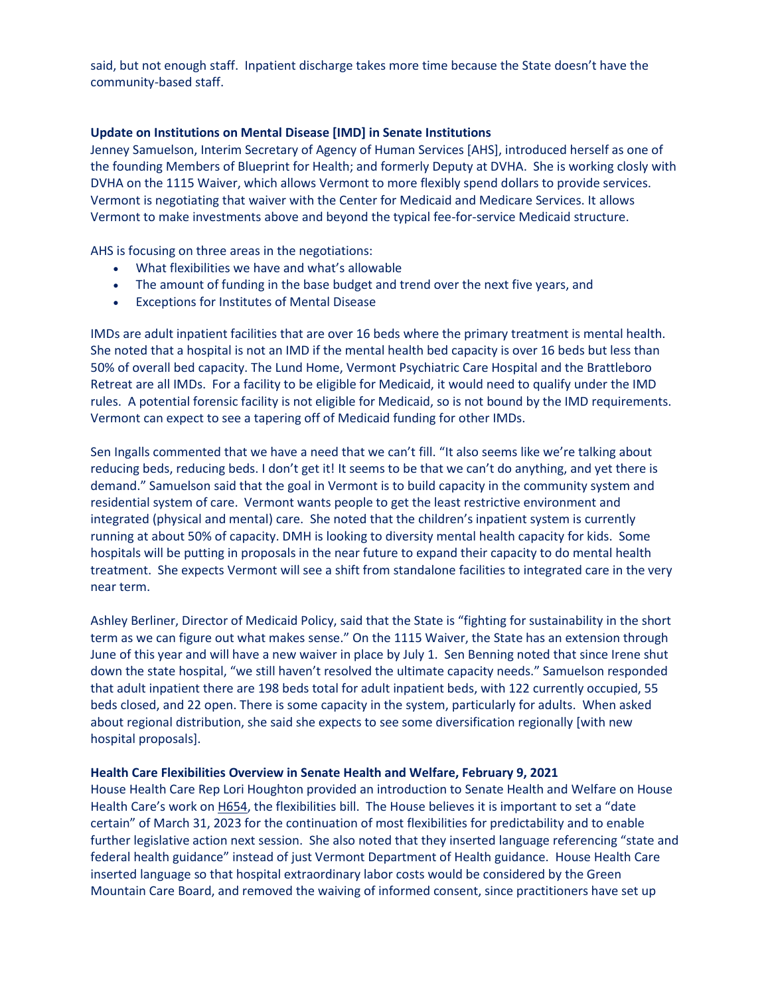said, but not enough staff. Inpatient discharge takes more time because the State doesn't have the community-based staff.

## **Update on Institutions on Mental Disease [IMD] in Senate Institutions**

Jenney Samuelson, Interim Secretary of Agency of Human Services [AHS], introduced herself as one of the founding Members of Blueprint for Health; and formerly Deputy at DVHA.  She is working closly with DVHA on the 1115 Waiver, which allows Vermont to more flexibly spend dollars to provide services. Vermont is negotiating that waiver with the Center for Medicaid and Medicare Services. It allows Vermont to make investments above and beyond the typical fee-for-service Medicaid structure.

AHS is focusing on three areas in the negotiations:

- What flexibilities we have and what's allowable
- The amount of funding in the base budget and trend over the next five years, and
- Exceptions for Institutes of Mental Disease

IMDs are adult inpatient facilities that are over 16 beds where the primary treatment is mental health. She noted that a hospital is not an IMD if the mental health bed capacity is over 16 beds but less than 50% of overall bed capacity. The Lund Home, Vermont Psychiatric Care Hospital and the Brattleboro Retreat are all IMDs.  For a facility to be eligible for Medicaid, it would need to qualify under the IMD rules.  A potential forensic facility is not eligible for Medicaid, so is not bound by the IMD requirements.  Vermont can expect to see a tapering off of Medicaid funding for other IMDs.

Sen Ingalls commented that we have a need that we can't fill. "It also seems like we're talking about reducing beds, reducing beds. I don't get it! It seems to be that we can't do anything, and yet there is demand." Samuelson said that the goal in Vermont is to build capacity in the community system and residential system of care.  Vermont wants people to get the least restrictive environment and integrated (physical and mental) care.  She noted that the children's inpatient system is currently running at about 50% of capacity. DMH is looking to diversity mental health capacity for kids.  Some hospitals will be putting in proposals in the near future to expand their capacity to do mental health treatment.  She expects Vermont will see a shift from standalone facilities to integrated care in the very near term.

Ashley Berliner, Director of Medicaid Policy, said that the State is "fighting for sustainability in the short term as we can figure out what makes sense." On the 1115 Waiver, the State has an extension through June of this year and will have a new waiver in place by July 1.  Sen Benning noted that since Irene shut down the state hospital, "we still haven't resolved the ultimate capacity needs." Samuelson responded that adult inpatient there are 198 beds total for adult inpatient beds, with 122 currently occupied, 55 beds closed, and 22 open. There is some capacity in the system, particularly for adults.  When asked about regional distribution, she said she expects to see some diversification regionally [with new hospital proposals].

#### **Health Care Flexibilities Overview in Senate Health and Welfare, February 9, 2021**

House Health Care Rep Lori Houghton provided an introduction to Senate Health and Welfare on House Health Care's work on [H654,](https://legislature.vermont.gov/Documents/2022/Docs/BILLS/H-0654/H-0654%20As%20Passed%20by%20the%20House%20Unofficial.pdf) the flexibilities bill. The House believes it is important to set a "date certain" of March 31, 2023 for the continuation of most flexibilities for predictability and to enable further legislative action next session. She also noted that they inserted language referencing "state and federal health guidance" instead of just Vermont Department of Health guidance. House Health Care inserted language so that hospital extraordinary labor costs would be considered by the Green Mountain Care Board, and removed the waiving of informed consent, since practitioners have set up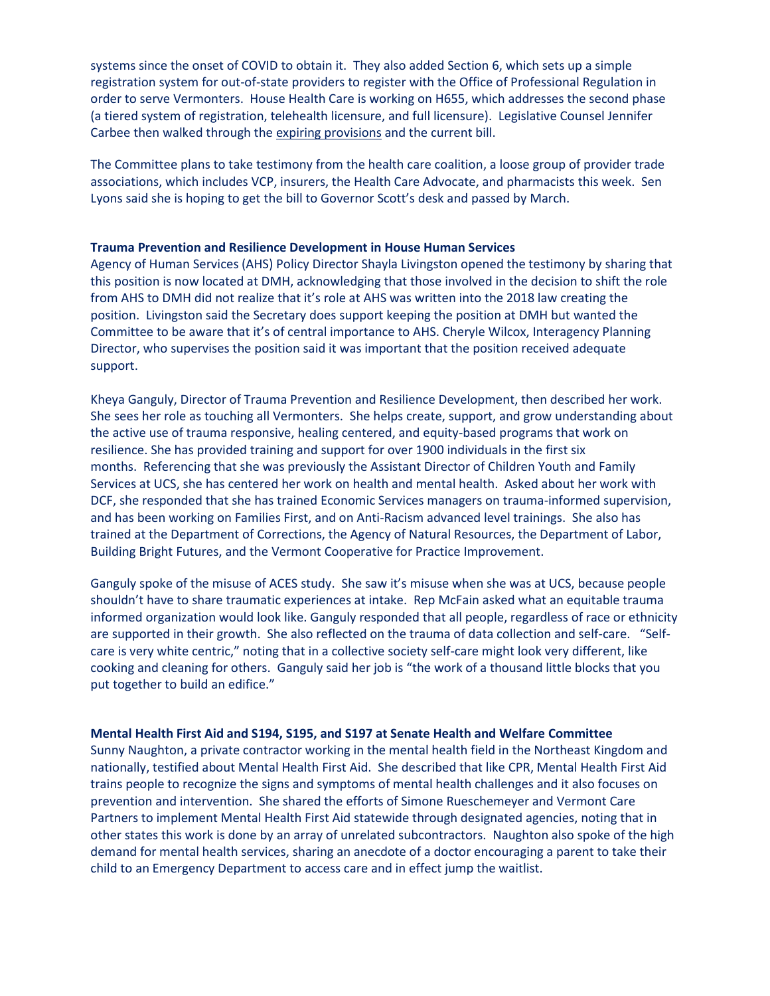systems since the onset of COVID to obtain it. They also added Section 6, which sets up a simple registration system for out-of-state providers to register with the Office of Professional Regulation in order to serve Vermonters. House Health Care is working on H655, which addresses the second phase (a tiered system of registration, telehealth licensure, and full licensure). Legislative Counsel Jennifer Carbee then walked through th[e expiring provisions](https://legislature.vermont.gov/Documents/2022/WorkGroups/Senate%20Health%20and%20Welfare/Bills/H.654/Drafts,%20Amendments,%20and%20Legal%20Documents/H.654~Jennifer%20Carbee~Expiring%20Provisions%20of%20Act%206~2-9-2022.pdf) and the current bill.

The Committee plans to take testimony from the health care coalition, a loose group of provider trade associations, which includes VCP, insurers, the Health Care Advocate, and pharmacists this week. Sen Lyons said she is hoping to get the bill to Governor Scott's desk and passed by March.

#### **Trauma Prevention and Resilience Development in House Human Services**

Agency of Human Services (AHS) Policy Director Shayla Livingston opened the testimony by sharing that this position is now located at DMH, acknowledging that those involved in the decision to shift the role from AHS to DMH did not realize that it's role at AHS was written into the 2018 law creating the position. Livingston said the Secretary does support keeping the position at DMH but wanted the Committee to be aware that it's of central importance to AHS. Cheryle Wilcox, Interagency Planning Director, who supervises the position said it was important that the position received adequate support.

Kheya Ganguly, Director of Trauma Prevention and Resilience Development, then described her work. She sees her role as touching all Vermonters. She helps create, support, and grow understanding about the active use of trauma responsive, healing centered, and equity-based programs that work on resilience. She has provided training and support for over 1900 individuals in the first six months. Referencing that she was previously the Assistant Director of Children Youth and Family Services at UCS, she has centered her work on health and mental health. Asked about her work with DCF, she responded that she has trained Economic Services managers on trauma-informed supervision, and has been working on Families First, and on Anti-Racism advanced level trainings. She also has trained at the Department of Corrections, the Agency of Natural Resources, the Department of Labor, Building Bright Futures, and the Vermont Cooperative for Practice Improvement.

Ganguly spoke of the misuse of ACES study. She saw it's misuse when she was at UCS, because people shouldn't have to share traumatic experiences at intake. Rep McFain asked what an equitable trauma informed organization would look like. Ganguly responded that all people, regardless of race or ethnicity are supported in their growth. She also reflected on the trauma of data collection and self-care. "Selfcare is very white centric," noting that in a collective society self-care might look very different, like cooking and cleaning for others. Ganguly said her job is "the work of a thousand little blocks that you put together to build an edifice."

#### **Mental Health First Aid and S194, S195, and S197 at Senate Health and Welfare Committee**

Sunny Naughton, a private contractor working in the mental health field in the Northeast Kingdom and nationally, testified about Mental Health First Aid. She described that like CPR, Mental Health First Aid trains people to recognize the signs and symptoms of mental health challenges and it also focuses on prevention and intervention. She shared the efforts of Simone Rueschemeyer and Vermont Care Partners to implement Mental Health First Aid statewide through designated agencies, noting that in other states this work is done by an array of unrelated subcontractors. Naughton also spoke of the high demand for mental health services, sharing an anecdote of a doctor encouraging a parent to take their child to an Emergency Department to access care and in effect jump the waitlist.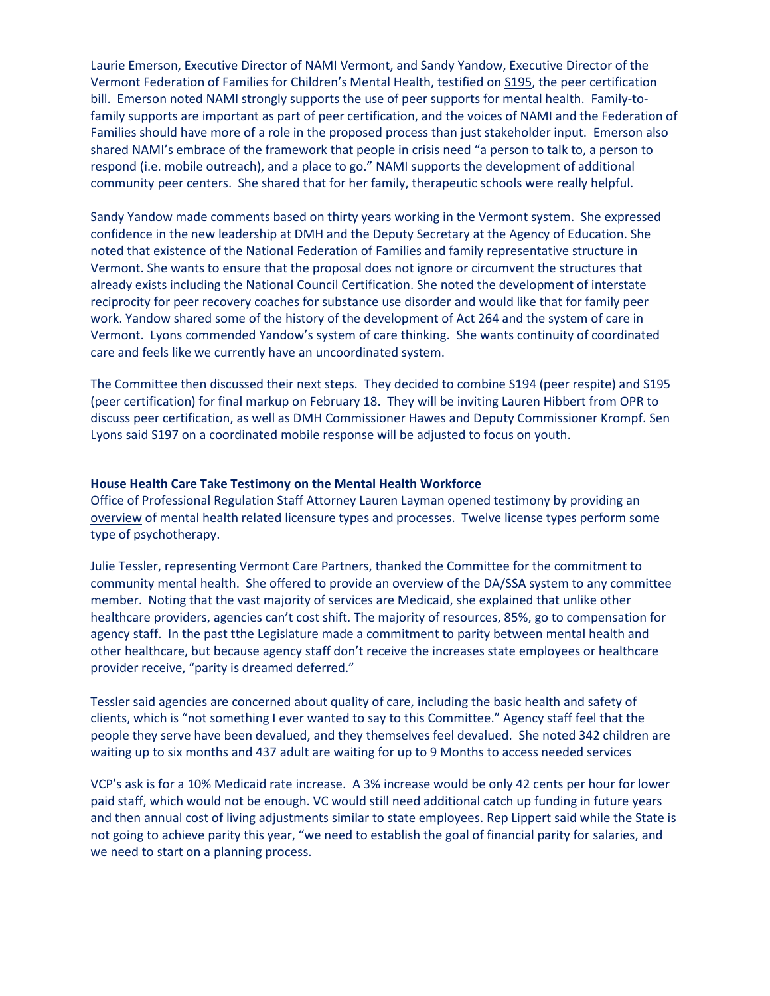Laurie Emerson, Executive Director of NAMI Vermont, and Sandy Yandow, Executive Director of the Vermont Federation of Families for Children's Mental Health, testified on [S195,](https://legislature.vermont.gov/Documents/2022/Docs/BILLS/S-0195/S-0195%20As%20Introduced.pdf) the peer certification bill. Emerson noted NAMI strongly supports the use of peer supports for mental health. Family-tofamily supports are important as part of peer certification, and the voices of NAMI and the Federation of Families should have more of a role in the proposed process than just stakeholder input. Emerson also shared NAMI's embrace of the framework that people in crisis need "a person to talk to, a person to respond (i.e. mobile outreach), and a place to go." NAMI supports the development of additional community peer centers. She shared that for her family, therapeutic schools were really helpful.

Sandy Yandow made comments based on thirty years working in the Vermont system. She expressed confidence in the new leadership at DMH and the Deputy Secretary at the Agency of Education. She noted that existence of the National Federation of Families and family representative structure in Vermont. She wants to ensure that the proposal does not ignore or circumvent the structures that already exists including the National Council Certification. She noted the development of interstate reciprocity for peer recovery coaches for substance use disorder and would like that for family peer work. Yandow shared some of the history of the development of Act 264 and the system of care in Vermont. Lyons commended Yandow's system of care thinking. She wants continuity of coordinated care and feels like we currently have an uncoordinated system.

The Committee then discussed their next steps. They decided to combine S194 (peer respite) and S195 (peer certification) for final markup on February 18. They will be inviting Lauren Hibbert from OPR to discuss peer certification, as well as DMH Commissioner Hawes and Deputy Commissioner Krompf. Sen Lyons said S197 on a coordinated mobile response will be adjusted to focus on youth.

#### **House Health Care Take Testimony on the Mental Health Workforce**

Office of Professional Regulation Staff Attorney Lauren Layman opened testimony by providing an [overview](https://legislature.vermont.gov/Documents/2022/WorkGroups/House%20Health%20Care/Health%20Care%20Workforce/W~Lauren%20Layman~Office%20of%20Professional%20Regulation%20Testimony%20-%20Mental%20Health%20Workforce~2-11-2022.pdf) of mental health related licensure types and processes. Twelve license types perform some type of psychotherapy.

Julie Tessler, representing Vermont Care Partners, thanked the Committee for the commitment to community mental health. She offered to provide an overview of the DA/SSA system to any committee member. Noting that the vast majority of services are Medicaid, she explained that unlike other healthcare providers, agencies can't cost shift. The majority of resources, 85%, go to compensation for agency staff. In the past tthe Legislature made a commitment to parity between mental health and other healthcare, but because agency staff don't receive the increases state employees or healthcare provider receive, "parity is dreamed deferred."

Tessler said agencies are concerned about quality of care, including the basic health and safety of clients, which is "not something I ever wanted to say to this Committee." Agency staff feel that the people they serve have been devalued, and they themselves feel devalued. She noted 342 children are waiting up to six months and 437 adult are waiting for up to 9 Months to access needed services

VCP's ask is for a 10% Medicaid rate increase. A 3% increase would be only 42 cents per hour for lower paid staff, which would not be enough. VC would still need additional catch up funding in future years and then annual cost of living adjustments similar to state employees. Rep Lippert said while the State is not going to achieve parity this year, "we need to establish the goal of financial parity for salaries, and we need to start on a planning process.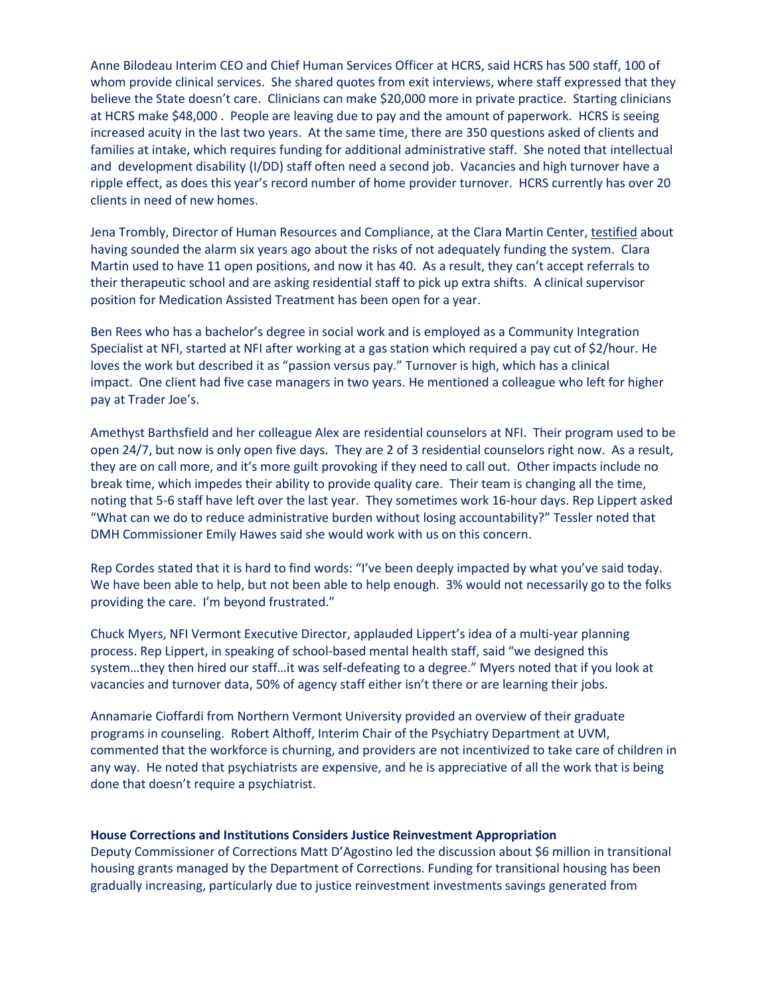Anne Bilodeau Interim CEO and Chief Human Services Officer at HCRS, said HCRS has 500 staff, 100 of whom provide clinical services. She shared quotes from exit interviews, where staff expressed that they believe the State doesn't care. Clinicians can make \$20,000 more in private practice. Starting clinicians at HCRS make \$48,000 . People are leaving due to pay and the amount of paperwork. HCRS is seeing increased acuity in the last two years. At the same time, there are 350 questions asked of clients and families at intake, which requires funding for additional administrative staff. She noted that intellectual and development disability (I/DD) staff often need a second job. Vacancies and high turnover have a ripple effect, as does this year's record number of home provider turnover. HCRS currently has over 20 clients in need of new homes.

Jena Trombly, Director of Human Resources and Compliance, at the Clara Martin Center, [testified](https://legislature.vermont.gov/Documents/2022/WorkGroups/House%20Health%20Care/Health%20Care%20Workforce/W~Jena%20Trombly~Clara%20Martin%20Center,%20Director%20of%20Human%20Resources%20Testimony~2-11-2022.pdf) about having sounded the alarm six years ago about the risks of not adequately funding the system. Clara Martin used to have 11 open positions, and now it has 40. As a result, they can't accept referrals to their therapeutic school and are asking residential staff to pick up extra shifts. A clinical supervisor position for Medication Assisted Treatment has been open for a year.

Ben Rees who has a bachelor's degree in social work and is employed as a Community Integration Specialist at NFI, started at NFI after working at a gas station which required a pay cut of \$2/hour. He loves the work but described it as "passion versus pay." Turnover is high, which has a clinical impact. One client had five case managers in two years. He mentioned a colleague who left for higher pay at Trader Joe's.

Amethyst Barthsfield and her colleague Alex are residential counselors at NFI. Their program used to be open 24/7, but now is only open five days. They are 2 of 3 residential counselors right now. As a result, they are on call more, and it's more guilt provoking if they need to call out. Other impacts include no break time, which impedes their ability to provide quality care. Their team is changing all the time, noting that 5-6 staff have left over the last year. They sometimes work 16-hour days. Rep Lippert asked "What can we do to reduce administrative burden without losing accountability?" Tessler noted that DMH Commissioner Emily Hawes said she would work with us on this concern.

Rep Cordes stated that it is hard to find words: "I've been deeply impacted by what you've said today. We have been able to help, but not been able to help enough. 3% would not necessarily go to the folks providing the care. I'm beyond frustrated."

Chuck Myers, NFI Vermont Executive Director, applauded Lippert's idea of a multi-year planning process. Rep Lippert, in speaking of school-based mental health staff, said "we designed this system…they then hired our staff…it was self-defeating to a degree." Myers noted that if you look at vacancies and turnover data, 50% of agency staff either isn't there or are learning their jobs.

Annamarie Cioffardi from Northern Vermont University provided an overview of their graduate programs in counseling. Robert Althoff, Interim Chair of the Psychiatry Department at UVM, commented that the workforce is churning, and providers are not incentivized to take care of children in any way. He noted that psychiatrists are expensive, and he is appreciative of all the work that is being done that doesn't require a psychiatrist.

#### **House Corrections and Institutions Considers Justice Reinvestment Appropriation**

Deputy Commissioner of Corrections Matt D'Agostino led the discussion about \$6 million in transitional housing grants managed by the Department of Corrections. Funding for transitional housing has been gradually increasing, particularly due to justice reinvestment investments savings generated from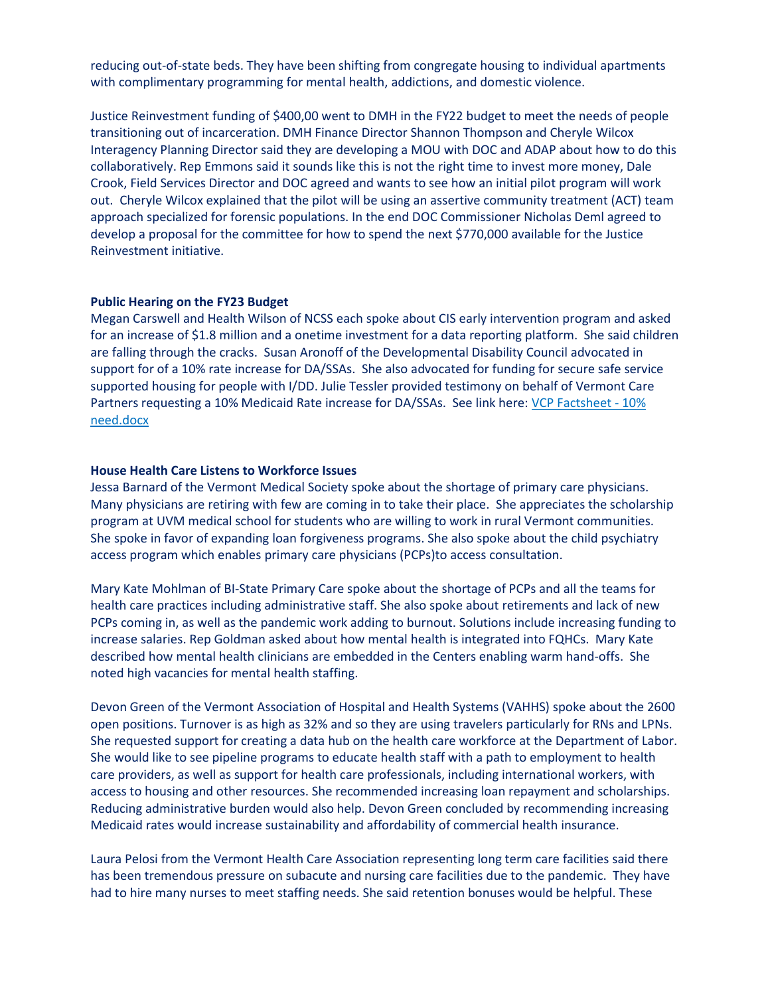reducing out-of-state beds. They have been shifting from congregate housing to individual apartments with complimentary programming for mental health, addictions, and domestic violence.

Justice Reinvestment funding of \$400,00 went to DMH in the FY22 budget to meet the needs of people transitioning out of incarceration. DMH Finance Director Shannon Thompson and Cheryle Wilcox Interagency Planning Director said they are developing a MOU with DOC and ADAP about how to do this collaboratively. Rep Emmons said it sounds like this is not the right time to invest more money, Dale Crook, Field Services Director and DOC agreed and wants to see how an initial pilot program will work out. Cheryle Wilcox explained that the pilot will be using an assertive community treatment (ACT) team approach specialized for forensic populations. In the end DOC Commissioner Nicholas Deml agreed to develop a proposal for the committee for how to spend the next \$770,000 available for the Justice Reinvestment initiative.

#### **Public Hearing on the FY23 Budget**

Megan Carswell and Health Wilson of NCSS each spoke about CIS early intervention program and asked for an increase of \$1.8 million and a onetime investment for a data reporting platform. She said children are falling through the cracks. Susan Aronoff of the Developmental Disability Council advocated in support for of a 10% rate increase for DA/SSAs. She also advocated for funding for secure safe service supported housing for people with I/DD. Julie Tessler provided testimony on behalf of Vermont Care Partners requesting a 10% Medicaid Rate increase for DA/SSAs. See link here[: VCP Factsheet -](https://vtcouncil-my.sharepoint.com/:w:/g/personal/julie_vtcouncil_org/Ebwa-CVMOilFn9MYw_wIk4gBI-X4VXTFEcpzuhW6GPq1_w?e=AtCe7D) 10% [need.docx](https://vtcouncil-my.sharepoint.com/:w:/g/personal/julie_vtcouncil_org/Ebwa-CVMOilFn9MYw_wIk4gBI-X4VXTFEcpzuhW6GPq1_w?e=AtCe7D)

#### **House Health Care Listens to Workforce Issues**

Jessa Barnard of the Vermont Medical Society spoke about the shortage of primary care physicians. Many physicians are retiring with few are coming in to take their place. She appreciates the scholarship program at UVM medical school for students who are willing to work in rural Vermont communities. She spoke in favor of expanding loan forgiveness programs. She also spoke about the child psychiatry access program which enables primary care physicians (PCPs)to access consultation.

Mary Kate Mohlman of BI-State Primary Care spoke about the shortage of PCPs and all the teams for health care practices including administrative staff. She also spoke about retirements and lack of new PCPs coming in, as well as the pandemic work adding to burnout. Solutions include increasing funding to increase salaries. Rep Goldman asked about how mental health is integrated into FQHCs. Mary Kate described how mental health clinicians are embedded in the Centers enabling warm hand-offs. She noted high vacancies for mental health staffing.

Devon Green of the Vermont Association of Hospital and Health Systems (VAHHS) spoke about the 2600 open positions. Turnover is as high as 32% and so they are using travelers particularly for RNs and LPNs. She requested support for creating a data hub on the health care workforce at the Department of Labor. She would like to see pipeline programs to educate health staff with a path to employment to health care providers, as well as support for health care professionals, including international workers, with access to housing and other resources. She recommended increasing loan repayment and scholarships. Reducing administrative burden would also help. Devon Green concluded by recommending increasing Medicaid rates would increase sustainability and affordability of commercial health insurance.

Laura Pelosi from the Vermont Health Care Association representing long term care facilities said there has been tremendous pressure on subacute and nursing care facilities due to the pandemic. They have had to hire many nurses to meet staffing needs. She said retention bonuses would be helpful. These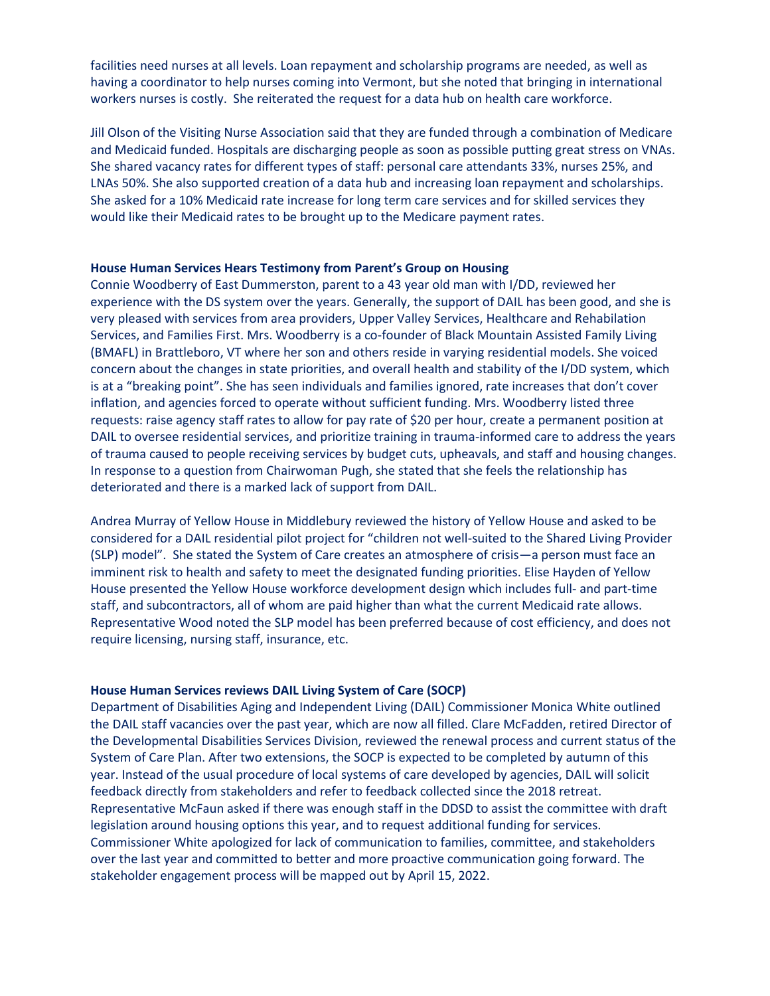facilities need nurses at all levels. Loan repayment and scholarship programs are needed, as well as having a coordinator to help nurses coming into Vermont, but she noted that bringing in international workers nurses is costly. She reiterated the request for a data hub on health care workforce.

Jill Olson of the Visiting Nurse Association said that they are funded through a combination of Medicare and Medicaid funded. Hospitals are discharging people as soon as possible putting great stress on VNAs. She shared vacancy rates for different types of staff: personal care attendants 33%, nurses 25%, and LNAs 50%. She also supported creation of a data hub and increasing loan repayment and scholarships. She asked for a 10% Medicaid rate increase for long term care services and for skilled services they would like their Medicaid rates to be brought up to the Medicare payment rates.

#### **House Human Services Hears Testimony from Parent's Group on Housing**

Connie Woodberry of East Dummerston, parent to a 43 year old man with I/DD, reviewed her experience with the DS system over the years. Generally, the support of DAIL has been good, and she is very pleased with services from area providers, Upper Valley Services, Healthcare and Rehabilation Services, and Families First. Mrs. Woodberry is a co-founder of Black Mountain Assisted Family Living (BMAFL) in Brattleboro, VT where her son and others reside in varying residential models. She voiced concern about the changes in state priorities, and overall health and stability of the I/DD system, which is at a "breaking point". She has seen individuals and families ignored, rate increases that don't cover inflation, and agencies forced to operate without sufficient funding. Mrs. Woodberry listed three requests: raise agency staff rates to allow for pay rate of \$20 per hour, create a permanent position at DAIL to oversee residential services, and prioritize training in trauma-informed care to address the years of trauma caused to people receiving services by budget cuts, upheavals, and staff and housing changes. In response to a question from Chairwoman Pugh, she stated that she feels the relationship has deteriorated and there is a marked lack of support from DAIL.

Andrea Murray of Yellow House in Middlebury reviewed the history of Yellow House and asked to be considered for a DAIL residential pilot project for "children not well-suited to the Shared Living Provider (SLP) model". She stated the System of Care creates an atmosphere of crisis—a person must face an imminent risk to health and safety to meet the designated funding priorities. Elise Hayden of Yellow House presented the Yellow House workforce development design which includes full- and part-time staff, and subcontractors, all of whom are paid higher than what the current Medicaid rate allows. Representative Wood noted the SLP model has been preferred because of cost efficiency, and does not require licensing, nursing staff, insurance, etc.

#### **House Human Services reviews DAIL Living System of Care (SOCP)**

Department of Disabilities Aging and Independent Living (DAIL) Commissioner Monica White outlined the DAIL staff vacancies over the past year, which are now all filled. Clare McFadden, retired Director of the Developmental Disabilities Services Division, reviewed the renewal process and current status of the System of Care Plan. After two extensions, the SOCP is expected to be completed by autumn of this year. Instead of the usual procedure of local systems of care developed by agencies, DAIL will solicit feedback directly from stakeholders and refer to feedback collected since the 2018 retreat. Representative McFaun asked if there was enough staff in the DDSD to assist the committee with draft legislation around housing options this year, and to request additional funding for services. Commissioner White apologized for lack of communication to families, committee, and stakeholders over the last year and committed to better and more proactive communication going forward. The stakeholder engagement process will be mapped out by April 15, 2022.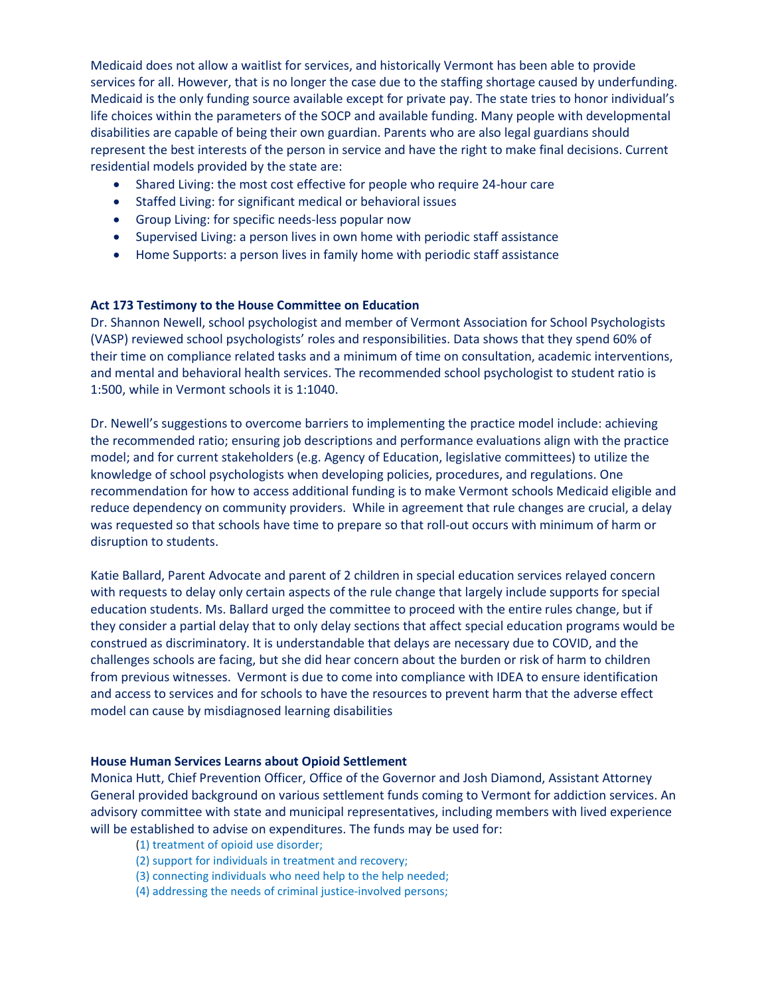Medicaid does not allow a waitlist for services, and historically Vermont has been able to provide services for all. However, that is no longer the case due to the staffing shortage caused by underfunding. Medicaid is the only funding source available except for private pay. The state tries to honor individual's life choices within the parameters of the SOCP and available funding. Many people with developmental disabilities are capable of being their own guardian. Parents who are also legal guardians should represent the best interests of the person in service and have the right to make final decisions. Current residential models provided by the state are:

- Shared Living: the most cost effective for people who require 24-hour care
- Staffed Living: for significant medical or behavioral issues
- Group Living: for specific needs-less popular now
- Supervised Living: a person lives in own home with periodic staff assistance
- Home Supports: a person lives in family home with periodic staff assistance

# **Act 173 Testimony to the House Committee on Education**

Dr. Shannon Newell, school psychologist and member of Vermont Association for School Psychologists (VASP) reviewed school psychologists' roles and responsibilities. Data shows that they spend 60% of their time on compliance related tasks and a minimum of time on consultation, academic interventions, and mental and behavioral health services. The recommended school psychologist to student ratio is 1:500, while in Vermont schools it is 1:1040.

Dr. Newell's suggestions to overcome barriers to implementing the practice model include: achieving the recommended ratio; ensuring job descriptions and performance evaluations align with the practice model; and for current stakeholders (e.g. Agency of Education, legislative committees) to utilize the knowledge of school psychologists when developing policies, procedures, and regulations. One recommendation for how to access additional funding is to make Vermont schools Medicaid eligible and reduce dependency on community providers. While in agreement that rule changes are crucial, a delay was requested so that schools have time to prepare so that roll-out occurs with minimum of harm or disruption to students.

Katie Ballard, Parent Advocate and parent of 2 children in special education services relayed concern with requests to delay only certain aspects of the rule change that largely include supports for special education students. Ms. Ballard urged the committee to proceed with the entire rules change, but if they consider a partial delay that to only delay sections that affect special education programs would be construed as discriminatory. It is understandable that delays are necessary due to COVID, and the challenges schools are facing, but she did hear concern about the burden or risk of harm to children from previous witnesses. Vermont is due to come into compliance with IDEA to ensure identification and access to services and for schools to have the resources to prevent harm that the adverse effect model can cause by misdiagnosed learning disabilities

# **House Human Services Learns about Opioid Settlement**

Monica Hutt, Chief Prevention Officer, Office of the Governor and Josh Diamond, Assistant Attorney General provided background on various settlement funds coming to Vermont for addiction services. An advisory committee with state and municipal representatives, including members with lived experience will be established to advise on expenditures. The funds may be used for:

- (1) treatment of opioid use disorder;
- (2) support for individuals in treatment and recovery;
- (3) connecting individuals who need help to the help needed;
- (4) addressing the needs of criminal justice-involved persons;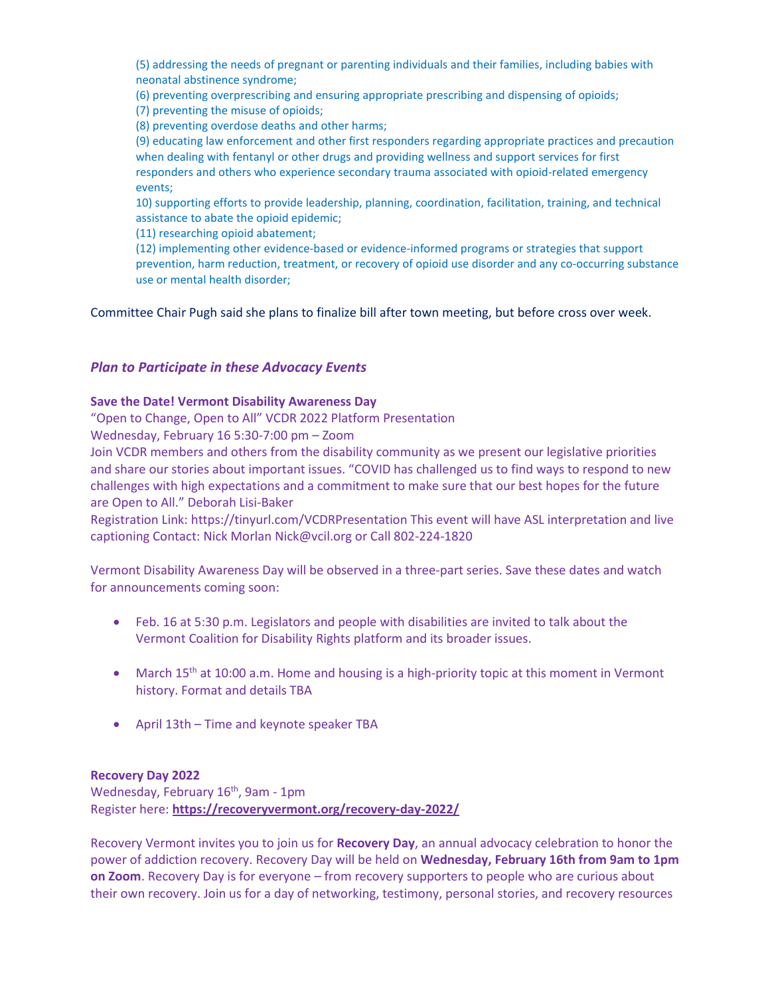(5) addressing the needs of pregnant or parenting individuals and their families, including babies with neonatal abstinence syndrome;

(6) preventing overprescribing and ensuring appropriate prescribing and dispensing of opioids;

(7) preventing the misuse of opioids;

(8) preventing overdose deaths and other harms;

(9) educating law enforcement and other first responders regarding appropriate practices and precaution when dealing with fentanyl or other drugs and providing wellness and support services for first responders and others who experience secondary trauma associated with opioid-related emergency events;

10) supporting efforts to provide leadership, planning, coordination, facilitation, training, and technical assistance to abate the opioid epidemic;

(11) researching opioid abatement;

(12) implementing other evidence-based or evidence-informed programs or strategies that support prevention, harm reduction, treatment, or recovery of opioid use disorder and any co-occurring substance use or mental health disorder;

Committee Chair Pugh said she plans to finalize bill after town meeting, but before cross over week.

# *Plan to Participate in these Advocacy Events*

#### **Save the Date! Vermont Disability Awareness Day**

"Open to Change, Open to All" VCDR 2022 Platform Presentation

Wednesday, February 16 5:30-7:00 pm – Zoom

Join VCDR members and others from the disability community as we present our legislative priorities and share our stories about important issues. "COVID has challenged us to find ways to respond to new challenges with high expectations and a commitment to make sure that our best hopes for the future are Open to All." Deborah Lisi-Baker

Registration Link: https://tinyurl.com/VCDRPresentation This event will have ASL interpretation and live captioning Contact: Nick Morlan Nick@vcil.org or Call 802-224-1820

Vermont Disability Awareness Day will be observed in a three-part series. Save these dates and watch for announcements coming soon:

- Feb. 16 at 5:30 p.m. Legislators and people with disabilities are invited to talk about the Vermont Coalition for Disability Rights platform and its broader issues.
- March 15<sup>th</sup> at 10:00 a.m. Home and housing is a high-priority topic at this moment in Vermont history. Format and details TBA
- April 13th Time and keynote speaker TBA

#### **Recovery Day 2022**

Wednesday, February 16<sup>th</sup>, 9am - 1pm Register here: **<https://recoveryvermont.org/recovery-day-2022/>**

Recovery Vermont invites you to join us for **Recovery Day**, an annual advocacy celebration to honor the power of addiction recovery. Recovery Day will be held on **Wednesday, February 16th from 9am to 1pm on Zoom**. Recovery Day is for everyone – from recovery supporters to people who are curious about their own recovery. Join us for a day of networking, testimony, personal stories, and recovery resources